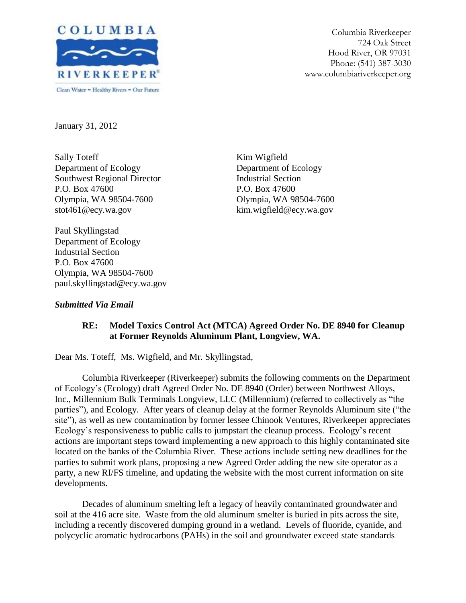

Columbia Riverkeeper 724 Oak Street Hood River, OR 97031 Phone: (541) 387-3030 www.columbiariverkeeper.org

January 31, 2012

Sally Toteff Department of Ecology Southwest Regional Director P.O. Box 47600 Olympia, WA 98504-7600 stot461@ecy.wa.gov

Kim Wigfield Department of Ecology Industrial Section P.O. Box 47600 Olympia, WA 98504-7600 kim.wigfield@ecy.wa.gov

Paul Skyllingstad Department of Ecology Industrial Section P.O. Box 47600 Olympia, WA 98504-7600 paul.skyllingstad@ecy.wa.gov

# *Submitted Via Email*

# **RE: Model Toxics Control Act (MTCA) Agreed Order No. DE 8940 for Cleanup at Former Reynolds Aluminum Plant, Longview, WA.**

Dear Ms. Toteff, Ms. Wigfield, and Mr. Skyllingstad,

Columbia Riverkeeper (Riverkeeper) submits the following comments on the Department of Ecology's (Ecology) draft Agreed Order No. DE 8940 (Order) between Northwest Alloys, Inc., Millennium Bulk Terminals Longview, LLC (Millennium) (referred to collectively as "the parties"), and Ecology. After years of cleanup delay at the former Reynolds Aluminum site ("the site"), as well as new contamination by former lessee Chinook Ventures, Riverkeeper appreciates Ecology's responsiveness to public calls to jumpstart the cleanup process. Ecology's recent actions are important steps toward implementing a new approach to this highly contaminated site located on the banks of the Columbia River. These actions include setting new deadlines for the parties to submit work plans, proposing a new Agreed Order adding the new site operator as a party, a new RI/FS timeline, and updating the website with the most current information on site developments.

Decades of aluminum smelting left a legacy of heavily contaminated groundwater and soil at the 416 acre site. Waste from the old aluminum smelter is buried in pits across the site, including a recently discovered dumping ground in a wetland. Levels of fluoride, cyanide, and polycyclic aromatic hydrocarbons (PAHs) in the soil and groundwater exceed state standards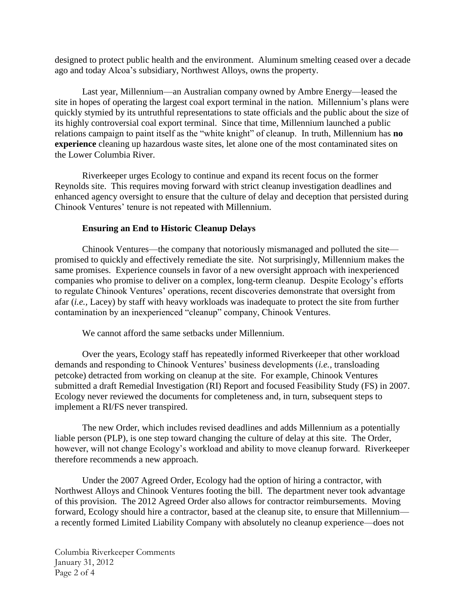designed to protect public health and the environment. Aluminum smelting ceased over a decade ago and today Alcoa's subsidiary, Northwest Alloys, owns the property.

Last year, Millennium—an Australian company owned by Ambre Energy—leased the site in hopes of operating the largest coal export terminal in the nation. Millennium's plans were quickly stymied by its untruthful representations to state officials and the public about the size of its highly controversial coal export terminal. Since that time, Millennium launched a public relations campaign to paint itself as the "white knight" of cleanup. In truth, Millennium has **no experience** cleaning up hazardous waste sites, let alone one of the most contaminated sites on the Lower Columbia River.

Riverkeeper urges Ecology to continue and expand its recent focus on the former Reynolds site. This requires moving forward with strict cleanup investigation deadlines and enhanced agency oversight to ensure that the culture of delay and deception that persisted during Chinook Ventures' tenure is not repeated with Millennium.

### **Ensuring an End to Historic Cleanup Delays**

Chinook Ventures—the company that notoriously mismanaged and polluted the site promised to quickly and effectively remediate the site. Not surprisingly, Millennium makes the same promises. Experience counsels in favor of a new oversight approach with inexperienced companies who promise to deliver on a complex, long-term cleanup. Despite Ecology's efforts to regulate Chinook Ventures' operations, recent discoveries demonstrate that oversight from afar (*i.e.,* Lacey) by staff with heavy workloads was inadequate to protect the site from further contamination by an inexperienced "cleanup" company, Chinook Ventures.

We cannot afford the same setbacks under Millennium.

Over the years, Ecology staff has repeatedly informed Riverkeeper that other workload demands and responding to Chinook Ventures' business developments (*i.e.,* transloading petcoke) detracted from working on cleanup at the site. For example, Chinook Ventures submitted a draft Remedial Investigation (RI) Report and focused Feasibility Study (FS) in 2007. Ecology never reviewed the documents for completeness and, in turn, subsequent steps to implement a RI/FS never transpired.

The new Order, which includes revised deadlines and adds Millennium as a potentially liable person (PLP), is one step toward changing the culture of delay at this site. The Order, however, will not change Ecology's workload and ability to move cleanup forward. Riverkeeper therefore recommends a new approach.

Under the 2007 Agreed Order, Ecology had the option of hiring a contractor, with Northwest Alloys and Chinook Ventures footing the bill. The department never took advantage of this provision. The 2012 Agreed Order also allows for contractor reimbursements. Moving forward, Ecology should hire a contractor, based at the cleanup site, to ensure that Millennium a recently formed Limited Liability Company with absolutely no cleanup experience—does not

Columbia Riverkeeper Comments January 31, 2012 Page 2 of 4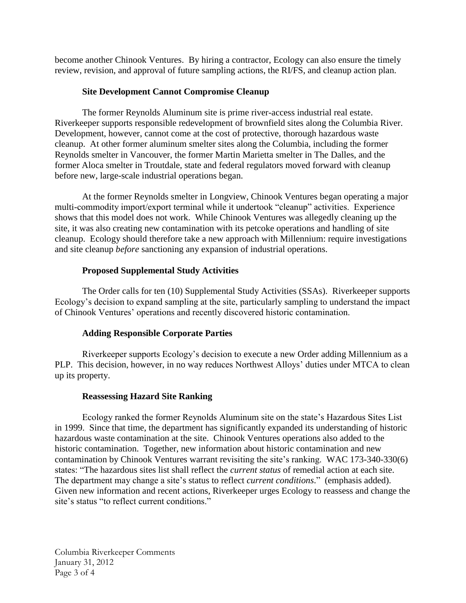become another Chinook Ventures. By hiring a contractor, Ecology can also ensure the timely review, revision, and approval of future sampling actions, the RI/FS, and cleanup action plan.

# **Site Development Cannot Compromise Cleanup**

The former Reynolds Aluminum site is prime river-access industrial real estate. Riverkeeper supports responsible redevelopment of brownfield sites along the Columbia River. Development, however, cannot come at the cost of protective, thorough hazardous waste cleanup. At other former aluminum smelter sites along the Columbia, including the former Reynolds smelter in Vancouver, the former Martin Marietta smelter in The Dalles, and the former Aloca smelter in Troutdale, state and federal regulators moved forward with cleanup before new, large-scale industrial operations began.

At the former Reynolds smelter in Longview, Chinook Ventures began operating a major multi-commodity import/export terminal while it undertook "cleanup" activities. Experience shows that this model does not work. While Chinook Ventures was allegedly cleaning up the site, it was also creating new contamination with its petcoke operations and handling of site cleanup. Ecology should therefore take a new approach with Millennium: require investigations and site cleanup *before* sanctioning any expansion of industrial operations.

# **Proposed Supplemental Study Activities**

The Order calls for ten (10) Supplemental Study Activities (SSAs). Riverkeeper supports Ecology's decision to expand sampling at the site, particularly sampling to understand the impact of Chinook Ventures' operations and recently discovered historic contamination.

## **Adding Responsible Corporate Parties**

Riverkeeper supports Ecology's decision to execute a new Order adding Millennium as a PLP. This decision, however, in no way reduces Northwest Alloys' duties under MTCA to clean up its property.

## **Reassessing Hazard Site Ranking**

Ecology ranked the former Reynolds Aluminum site on the state's Hazardous Sites List in 1999. Since that time, the department has significantly expanded its understanding of historic hazardous waste contamination at the site. Chinook Ventures operations also added to the historic contamination. Together, new information about historic contamination and new contamination by Chinook Ventures warrant revisiting the site's ranking. WAC 173-340-330(6) states: "The hazardous sites list shall reflect the *current status* of remedial action at each site. The department may change a site's status to reflect *current conditions*." (emphasis added). Given new information and recent actions, Riverkeeper urges Ecology to reassess and change the site's status "to reflect current conditions."

Columbia Riverkeeper Comments January 31, 2012 Page 3 of 4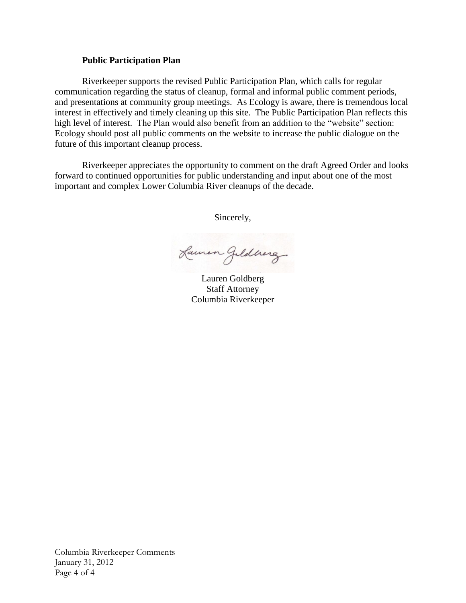#### **Public Participation Plan**

Riverkeeper supports the revised Public Participation Plan, which calls for regular communication regarding the status of cleanup, formal and informal public comment periods, and presentations at community group meetings. As Ecology is aware, there is tremendous local interest in effectively and timely cleaning up this site. The Public Participation Plan reflects this high level of interest. The Plan would also benefit from an addition to the "website" section: Ecology should post all public comments on the website to increase the public dialogue on the future of this important cleanup process.

Riverkeeper appreciates the opportunity to comment on the draft Agreed Order and looks forward to continued opportunities for public understanding and input about one of the most important and complex Lower Columbia River cleanups of the decade.

Sincerely,

Lamen Jeldnerg

Lauren Goldberg Staff Attorney Columbia Riverkeeper

Columbia Riverkeeper Comments January 31, 2012 Page 4 of 4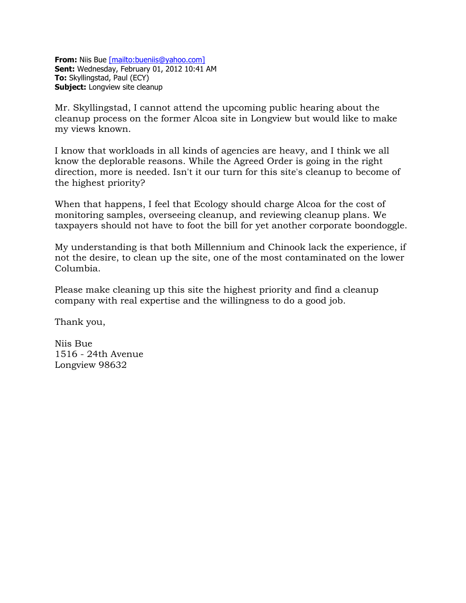**From:** Niis Bue [\[mailto:bueniis@yahoo.com\]](mailto:[mailto:bueniis@yahoo.com]) **Sent:** Wednesday, February 01, 2012 10:41 AM **To:** Skyllingstad, Paul (ECY) **Subject:** Longview site cleanup

Mr. Skyllingstad, I cannot attend the upcoming public hearing about the cleanup process on the former Alcoa site in Longview but would like to make my views known.

I know that workloads in all kinds of agencies are heavy, and I think we all know the deplorable reasons. While the Agreed Order is going in the right direction, more is needed. Isn't it our turn for this site's cleanup to become of the highest priority?

When that happens, I feel that Ecology should charge Alcoa for the cost of monitoring samples, overseeing cleanup, and reviewing cleanup plans. We taxpayers should not have to foot the bill for yet another corporate boondoggle.

My understanding is that both Millennium and Chinook lack the experience, if not the desire, to clean up the site, one of the most contaminated on the lower Columbia.

Please make cleaning up this site the highest priority and find a cleanup company with real expertise and the willingness to do a good job.

Thank you,

Niis Bue 1516 - 24th Avenue Longview 98632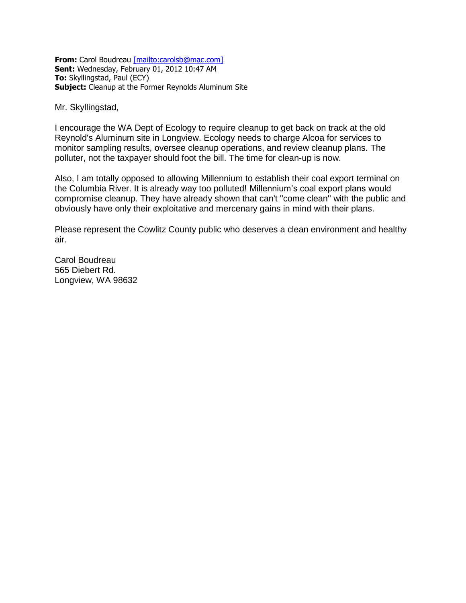**From:** Carol Boudreau [\[mailto:carolsb@mac.com\]](mailto:[mailto:carolsb@mac.com]) **Sent:** Wednesday, February 01, 2012 10:47 AM **To:** Skyllingstad, Paul (ECY) **Subject:** Cleanup at the Former Reynolds Aluminum Site

Mr. Skyllingstad,

I encourage the WA Dept of Ecology to require cleanup to get back on track at the old Reynold's Aluminum site in Longview. Ecology needs to charge Alcoa for services to monitor sampling results, oversee cleanup operations, and review cleanup plans. The polluter, not the taxpayer should foot the bill. The time for clean-up is now.

Also, I am totally opposed to allowing Millennium to establish their coal export terminal on the Columbia River. It is already way too polluted! Millennium's coal export plans would compromise cleanup. They have already shown that can't "come clean" with the public and obviously have only their exploitative and mercenary gains in mind with their plans.

Please represent the Cowlitz County public who deserves a clean environment and healthy air.

Carol Boudreau 565 Diebert Rd. Longview, WA 98632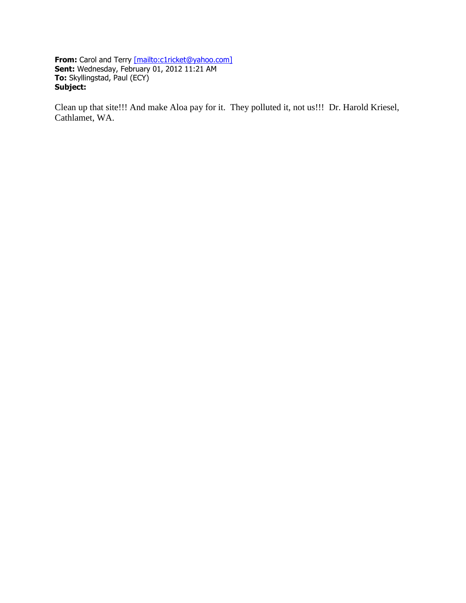**From:** Carol and Terry [\[mailto:c1ricket@yahoo.com\]](mailto:[mailto:c1ricket@yahoo.com]) **Sent:** Wednesday, February 01, 2012 11:21 AM **To:** Skyllingstad, Paul (ECY) **Subject:**

Clean up that site!!! And make Aloa pay for it. They polluted it, not us!!! Dr. Harold Kriesel, Cathlamet, WA.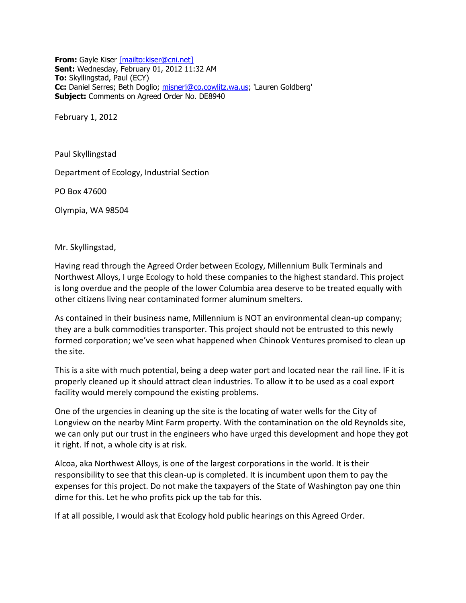**From:** Gayle Kiser [\[mailto:kiser@cni.net\]](mailto:[mailto:kiser@cni.net]) **Sent:** Wednesday, February 01, 2012 11:32 AM **To:** Skyllingstad, Paul (ECY) **Cc:** Daniel Serres; Beth Doglio; [misnerj@co.cowlitz.wa.us;](mailto:misnerj@co.cowlitz.wa.us) 'Lauren Goldberg' **Subject:** Comments on Agreed Order No. DE8940

February 1, 2012

Paul Skyllingstad

Department of Ecology, Industrial Section

PO Box 47600

Olympia, WA 98504

Mr. Skyllingstad,

Having read through the Agreed Order between Ecology, Millennium Bulk Terminals and Northwest Alloys, I urge Ecology to hold these companies to the highest standard. This project is long overdue and the people of the lower Columbia area deserve to be treated equally with other citizens living near contaminated former aluminum smelters.

As contained in their business name, Millennium is NOT an environmental clean-up company; they are a bulk commodities transporter. This project should not be entrusted to this newly formed corporation; we've seen what happened when Chinook Ventures promised to clean up the site.

This is a site with much potential, being a deep water port and located near the rail line. IF it is properly cleaned up it should attract clean industries. To allow it to be used as a coal export facility would merely compound the existing problems.

One of the urgencies in cleaning up the site is the locating of water wells for the City of Longview on the nearby Mint Farm property. With the contamination on the old Reynolds site, we can only put our trust in the engineers who have urged this development and hope they got it right. If not, a whole city is at risk.

Alcoa, aka Northwest Alloys, is one of the largest corporations in the world. It is their responsibility to see that this clean-up is completed. It is incumbent upon them to pay the expenses for this project. Do not make the taxpayers of the State of Washington pay one thin dime for this. Let he who profits pick up the tab for this.

If at all possible, I would ask that Ecology hold public hearings on this Agreed Order.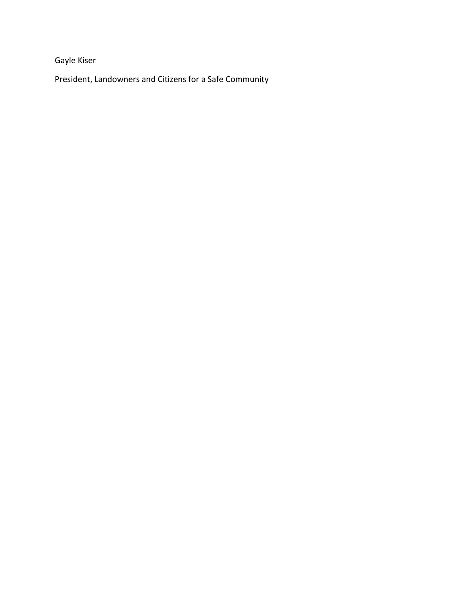Gayle Kiser

President, Landowners and Citizens for a Safe Community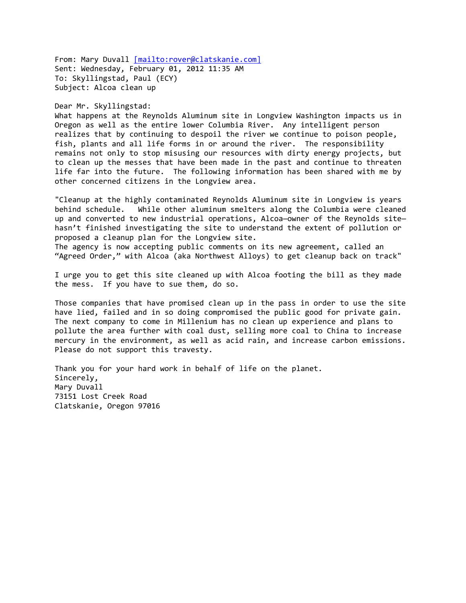From: Mary Duvall [\[mailto:rover@clatskanie.com\]](mailto:[mailto:rover@clatskanie.com]) Sent: Wednesday, February 01, 2012 11:35 AM To: Skyllingstad, Paul (ECY) Subject: Alcoa clean up

#### Dear Mr. Skyllingstad:

What happens at the Reynolds Aluminum site in Longview Washington impacts us in Oregon as well as the entire lower Columbia River. Any intelligent person realizes that by continuing to despoil the river we continue to poison people, fish, plants and all life forms in or around the river. The responsibility remains not only to stop misusing our resources with dirty energy projects, but to clean up the messes that have been made in the past and continue to threaten life far into the future. The following information has been shared with me by other concerned citizens in the Longview area.

"Cleanup at the highly contaminated Reynolds Aluminum site in Longview is years behind schedule. While other aluminum smelters along the Columbia were cleaned up and converted to new industrial operations, Alcoa—owner of the Reynolds site hasn't finished investigating the site to understand the extent of pollution or proposed a cleanup plan for the Longview site.

The agency is now accepting public comments on its new agreement, called an "Agreed Order," with Alcoa (aka Northwest Alloys) to get cleanup back on track"

I urge you to get this site cleaned up with Alcoa footing the bill as they made the mess. If you have to sue them, do so.

Those companies that have promised clean up in the pass in order to use the site have lied, failed and in so doing compromised the public good for private gain. The next company to come in Millenium has no clean up experience and plans to pollute the area further with coal dust, selling more coal to China to increase mercury in the environment, as well as acid rain, and increase carbon emissions. Please do not support this travesty.

Thank you for your hard work in behalf of life on the planet. Sincerely, Mary Duvall 73151 Lost Creek Road Clatskanie, Oregon 97016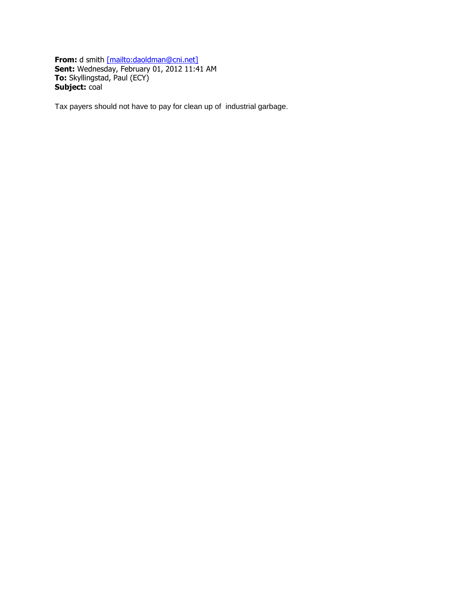**From:** d smith [\[mailto:daoldman@cni.net\]](mailto:[mailto:daoldman@cni.net]) **Sent:** Wednesday, February 01, 2012 11:41 AM **To:** Skyllingstad, Paul (ECY) **Subject:** coal

Tax payers should not have to pay for clean up of industrial garbage.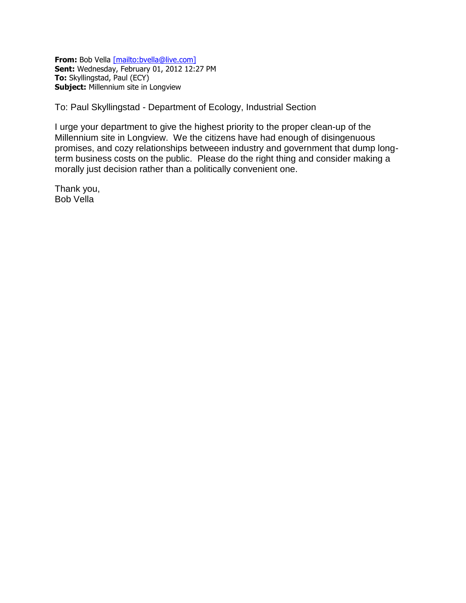**From:** Bob Vella [\[mailto:bvella@live.com\]](mailto:[mailto:bvella@live.com]) **Sent:** Wednesday, February 01, 2012 12:27 PM **To:** Skyllingstad, Paul (ECY) **Subject:** Millennium site in Longview

To: Paul Skyllingstad - Department of Ecology, Industrial Section

I urge your department to give the highest priority to the proper clean-up of the Millennium site in Longview. We the citizens have had enough of disingenuous promises, and cozy relationships betweeen industry and government that dump longterm business costs on the public. Please do the right thing and consider making a morally just decision rather than a politically convenient one.

Thank you, Bob Vella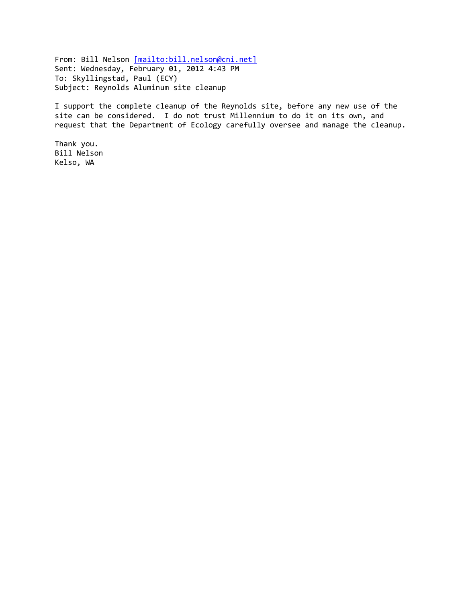From: Bill Nelson [\[mailto:bill.nelson@cni.net\]](mailto:[mailto:bill.nelson@cni.net]) Sent: Wednesday, February 01, 2012 4:43 PM To: Skyllingstad, Paul (ECY) Subject: Reynolds Aluminum site cleanup

I support the complete cleanup of the Reynolds site, before any new use of the site can be considered. I do not trust Millennium to do it on its own, and request that the Department of Ecology carefully oversee and manage the cleanup.

Thank you. Bill Nelson Kelso, WA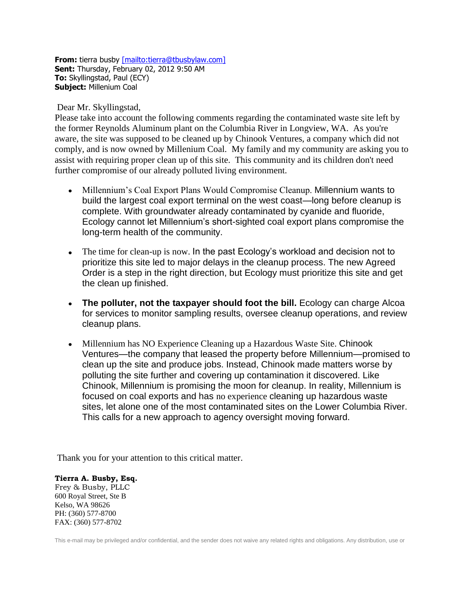**From:** tierra busby [\[mailto:tierra@tbusbylaw.com\]](mailto:[mailto:tierra@tbusbylaw.com]) **Sent:** Thursday, February 02, 2012 9:50 AM **To:** Skyllingstad, Paul (ECY) **Subject:** Millenium Coal

Dear Mr. Skyllingstad,

Please take into account the following comments regarding the contaminated waste site left by the former Reynolds Aluminum plant on the Columbia River in Longview, WA. As you're aware, the site was supposed to be cleaned up by Chinook Ventures, a company which did not comply, and is now owned by Millenium Coal. My family and my community are asking you to assist with requiring proper clean up of this site. This community and its children don't need further compromise of our already polluted living environment.

- Millennium's Coal Export Plans Would Compromise Cleanup. Millennium wants to build the largest coal export terminal on the west coast—long before cleanup is complete. With groundwater already contaminated by cyanide and fluoride, Ecology cannot let Millennium's short-sighted coal export plans compromise the long-term health of the community.
- The time for clean-up is now. In the past Ecology's workload and decision not to prioritize this site led to major delays in the cleanup process. The new Agreed Order is a step in the right direction, but Ecology must prioritize this site and get the clean up finished.
- **The polluter, not the taxpayer should foot the bill.** Ecology can charge Alcoa for services to monitor sampling results, oversee cleanup operations, and review cleanup plans.
- Millennium has NO Experience Cleaning up a Hazardous Waste Site. Chinook Ventures—the company that leased the property before Millennium—promised to clean up the site and produce jobs. Instead, Chinook made matters worse by polluting the site further and covering up contamination it discovered. Like Chinook, Millennium is promising the moon for cleanup. In reality, Millennium is focused on coal exports and has no experience cleaning up hazardous waste sites, let alone one of the most contaminated sites on the Lower Columbia River. This calls for a new approach to agency oversight moving forward.

Thank you for your attention to this critical matter.

#### **Tierra A. Busby, Esq.**

Frey & Busby, PLLC 600 Royal Street, Ste B Kelso, WA 98626 PH: (360) 577-8700 FAX: (360) 577-8702

This e-mail may be privileged and/or confidential, and the sender does not waive any related rights and obligations. Any distribution, use or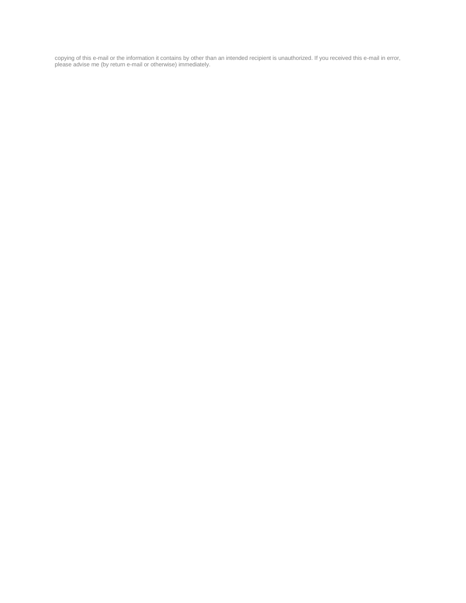copying of this e-mail or the information it contains by other than an intended recipient is unauthorized. If you received this e-mail in error, please advise me (by return e-mail or otherwise) immediately.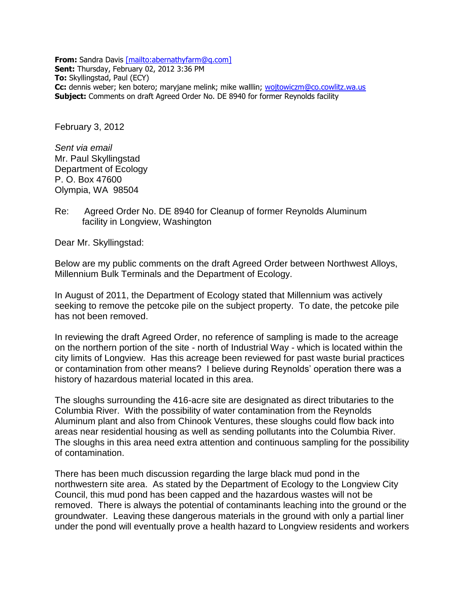**From:** Sandra Davis [\[mailto:abernathyfarm@q.com\]](mailto:[mailto:abernathyfarm@q.com]) **Sent:** Thursday, February 02, 2012 3:36 PM **To:** Skyllingstad, Paul (ECY) **Cc:** dennis weber; ken botero; maryjane melink; mike walllin; [wojtowiczm@co.cowlitz.wa.us](mailto:wojtowiczm@co.cowlitz.wa.us) **Subject:** Comments on draft Agreed Order No. DE 8940 for former Reynolds facility

February 3, 2012

*Sent via email*  Mr. Paul Skyllingstad Department of Ecology P. O. Box 47600 Olympia, WA 98504

# Re: Agreed Order No. DE 8940 for Cleanup of former Reynolds Aluminum facility in Longview, Washington

Dear Mr. Skyllingstad:

Below are my public comments on the draft Agreed Order between Northwest Alloys, Millennium Bulk Terminals and the Department of Ecology.

In August of 2011, the Department of Ecology stated that Millennium was actively seeking to remove the petcoke pile on the subject property. To date, the petcoke pile has not been removed.

In reviewing the draft Agreed Order, no reference of sampling is made to the acreage on the northern portion of the site - north of Industrial Way - which is located within the city limits of Longview. Has this acreage been reviewed for past waste burial practices or contamination from other means? I believe during Reynolds' operation there was a history of hazardous material located in this area.

The sloughs surrounding the 416-acre site are designated as direct tributaries to the Columbia River. With the possibility of water contamination from the Reynolds Aluminum plant and also from Chinook Ventures, these sloughs could flow back into areas near residential housing as well as sending pollutants into the Columbia River. The sloughs in this area need extra attention and continuous sampling for the possibility of contamination.

There has been much discussion regarding the large black mud pond in the northwestern site area. As stated by the Department of Ecology to the Longview City Council, this mud pond has been capped and the hazardous wastes will not be removed. There is always the potential of contaminants leaching into the ground or the groundwater. Leaving these dangerous materials in the ground with only a partial liner under the pond will eventually prove a health hazard to Longview residents and workers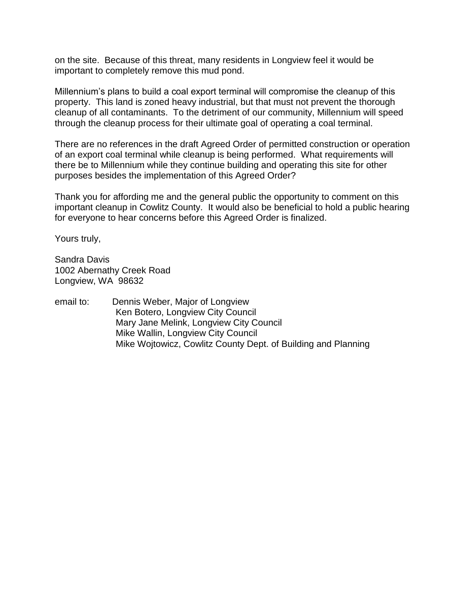on the site. Because of this threat, many residents in Longview feel it would be important to completely remove this mud pond.

Millennium's plans to build a coal export terminal will compromise the cleanup of this property. This land is zoned heavy industrial, but that must not prevent the thorough cleanup of all contaminants. To the detriment of our community, Millennium will speed through the cleanup process for their ultimate goal of operating a coal terminal.

There are no references in the draft Agreed Order of permitted construction or operation of an export coal terminal while cleanup is being performed. What requirements will there be to Millennium while they continue building and operating this site for other purposes besides the implementation of this Agreed Order?

Thank you for affording me and the general public the opportunity to comment on this important cleanup in Cowlitz County. It would also be beneficial to hold a public hearing for everyone to hear concerns before this Agreed Order is finalized.

Yours truly,

Sandra Davis 1002 Abernathy Creek Road Longview, WA 98632

email to: Dennis Weber, Major of Longview Ken Botero, Longview City Council Mary Jane Melink, Longview City Council Mike Wallin, Longview City Council Mike Wojtowicz, Cowlitz County Dept. of Building and Planning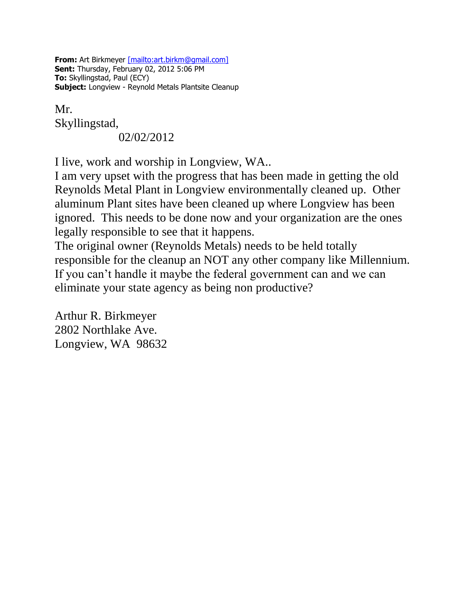**From:** Art Birkmeyer [\[mailto:art.birkm@gmail.com\]](mailto:[mailto:art.birkm@gmail.com]) **Sent:** Thursday, February 02, 2012 5:06 PM **To:** Skyllingstad, Paul (ECY) **Subject:** Longview - Reynold Metals Plantsite Cleanup

Mr.

Skyllingstad,

02/02/2012

I live, work and worship in Longview, WA..

I am very upset with the progress that has been made in getting the old Reynolds Metal Plant in Longview environmentally cleaned up. Other aluminum Plant sites have been cleaned up where Longview has been ignored. This needs to be done now and your organization are the ones legally responsible to see that it happens.

The original owner (Reynolds Metals) needs to be held totally responsible for the cleanup an NOT any other company like Millennium. If you can't handle it maybe the federal government can and we can eliminate your state agency as being non productive?

Arthur R. Birkmeyer 2802 Northlake Ave. Longview, WA 98632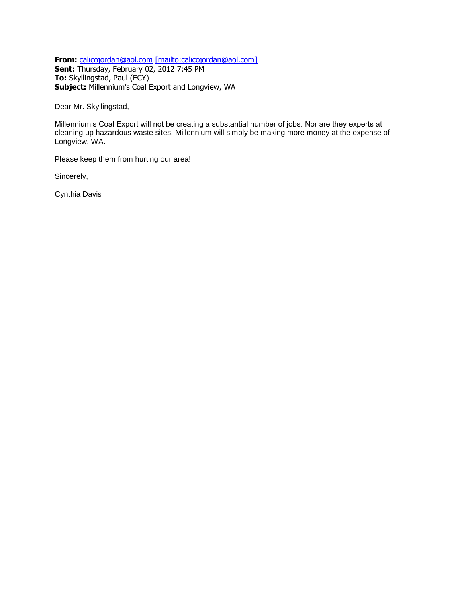**From:** [calicojordan@aol.com](mailto:calicojordan@aol.com) [\[mailto:calicojordan@aol.com\]](mailto:[mailto:calicojordan@aol.com]) **Sent:** Thursday, February 02, 2012 7:45 PM **To:** Skyllingstad, Paul (ECY) **Subject:** Millennium's Coal Export and Longview, WA

Dear Mr. Skyllingstad,

Millennium's Coal Export will not be creating a substantial number of jobs. Nor are they experts at cleaning up hazardous waste sites. Millennium will simply be making more money at the expense of Longview, WA.

Please keep them from hurting our area!

Sincerely,

Cynthia Davis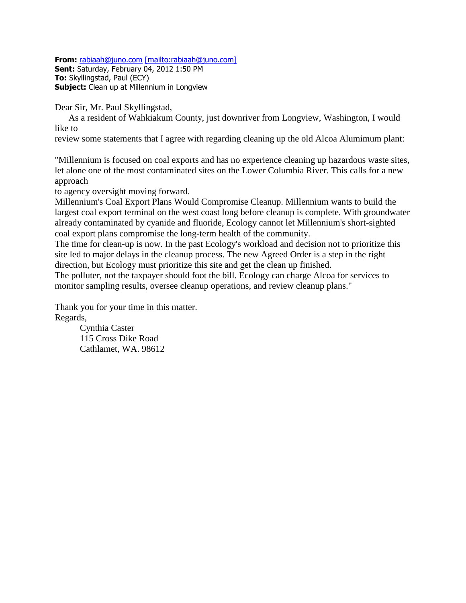**From:** [rabiaah@juno.com](mailto:rabiaah@juno.com) [\[mailto:rabiaah@juno.com\]](mailto:[mailto:rabiaah@juno.com])

**Sent:** Saturday, February 04, 2012 1:50 PM **To:** Skyllingstad, Paul (ECY) **Subject:** Clean up at Millennium in Longview

Dear Sir, Mr. Paul Skyllingstad,

 As a resident of Wahkiakum County, just downriver from Longview, Washington, I would like to

review some statements that I agree with regarding cleaning up the old Alcoa Alumimum plant:

"Millennium is focused on coal exports and has no experience cleaning up hazardous waste sites, let alone one of the most contaminated sites on the Lower Columbia River. This calls for a new approach

to agency oversight moving forward.

Millennium's Coal Export Plans Would Compromise Cleanup. Millennium wants to build the largest coal export terminal on the west coast long before cleanup is complete. With groundwater already contaminated by cyanide and fluoride, Ecology cannot let Millennium's short-sighted coal export plans compromise the long-term health of the community.

The time for clean-up is now. In the past Ecology's workload and decision not to prioritize this site led to major delays in the cleanup process. The new Agreed Order is a step in the right direction, but Ecology must prioritize this site and get the clean up finished.

The polluter, not the taxpayer should foot the bill. Ecology can charge Alcoa for services to monitor sampling results, oversee cleanup operations, and review cleanup plans."

Thank you for your time in this matter. Regards,

> Cynthia Caster 115 Cross Dike Road Cathlamet, WA. 98612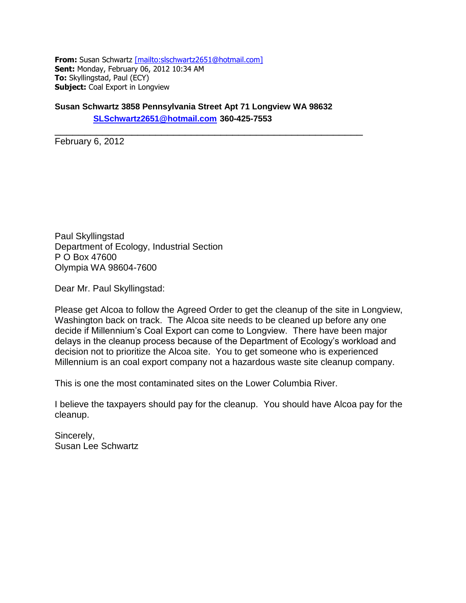**From:** Susan Schwartz [\[mailto:slschwartz2651@hotmail.com\]](mailto:[mailto:slschwartz2651@hotmail.com]) **Sent:** Monday, February 06, 2012 10:34 AM **To:** Skyllingstad, Paul (ECY) **Subject:** Coal Export in Longview

**Susan Schwartz 3858 Pennsylvania Street Apt 71 Longview WA 98632 [SLSchwartz2651@hotmail.com](mailto:SLSchwartz2651@hotmail.com) 360-425-7553**

\_\_\_\_\_\_\_\_\_\_\_\_\_\_\_\_\_\_\_\_\_\_\_\_\_\_\_\_\_\_\_\_\_\_\_\_\_\_\_\_\_\_\_\_\_\_\_\_\_\_\_\_

February 6, 2012

Paul Skyllingstad Department of Ecology, Industrial Section P O Box 47600 Olympia WA 98604-7600

Dear Mr. Paul Skyllingstad:

Please get Alcoa to follow the Agreed Order to get the cleanup of the site in Longview, Washington back on track. The Alcoa site needs to be cleaned up before any one decide if Millennium's Coal Export can come to Longview. There have been major delays in the cleanup process because of the Department of Ecology's workload and decision not to prioritize the Alcoa site. You to get someone who is experienced Millennium is an coal export company not a hazardous waste site cleanup company.

This is one the most contaminated sites on the Lower Columbia River.

I believe the taxpayers should pay for the cleanup. You should have Alcoa pay for the cleanup.

Sincerely, Susan Lee Schwartz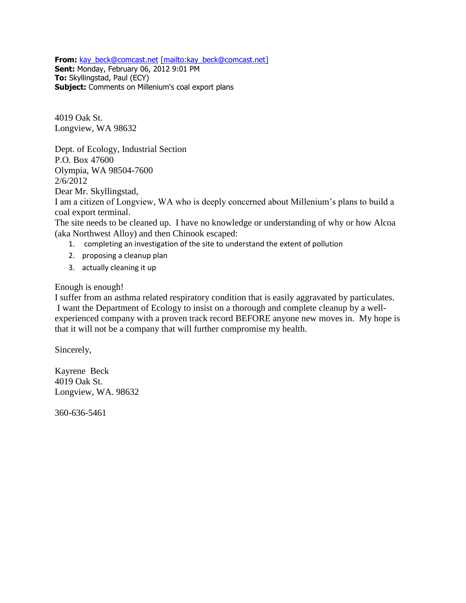**From:** [kay\\_beck@comcast.net](mailto:kay_beck@comcast.net) [\[mailto:kay\\_beck@comcast.net\]](mailto:[mailto:kay_beck@comcast.net])

**Sent:** Monday, February 06, 2012 9:01 PM **To:** Skyllingstad, Paul (ECY) **Subject:** Comments on Millenium's coal export plans

4019 Oak St. Longview, WA 98632

Dept. of Ecology, Industrial Section P.O. Box 47600 Olympia, WA 98504-7600 2/6/2012 Dear Mr. Skyllingstad,

I am a citizen of Longview, WA who is deeply concerned about Millenium's plans to build a coal export terminal.

The site needs to be cleaned up. I have no knowledge or understanding of why or how Alcoa (aka Northwest Alloy) and then Chinook escaped:

- 1. completing an investigation of the site to understand the extent of pollution
- 2. proposing a cleanup plan
- 3. actually cleaning it up

Enough is enough!

I suffer from an asthma related respiratory condition that is easily aggravated by particulates. I want the Department of Ecology to insist on a thorough and complete cleanup by a wellexperienced company with a proven track record BEFORE anyone new moves in. My hope is that it will not be a company that will further compromise my health.

Sincerely,

Kayrene Beck 4019 Oak St. Longview, WA. 98632

360-636-5461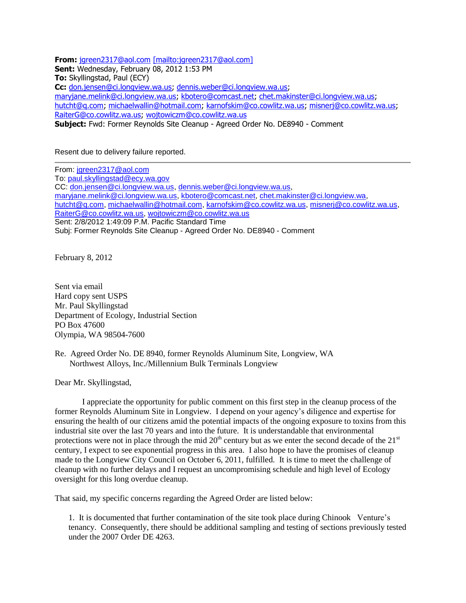**From:** [jgreen2317@aol.com](mailto:jgreen2317@aol.com) [\[mailto:jgreen2317@aol.com\]](mailto:[mailto:jgreen2317@aol.com]) **Sent:** Wednesday, February 08, 2012 1:53 PM **To:** Skyllingstad, Paul (ECY) **Cc:** [don.jensen@ci.longview.wa.us;](mailto:don.jensen@ci.longview.wa.us) [dennis.weber@ci.longview.wa.us;](mailto:dennis.weber@ci.longview.wa.us) [maryjane.melink@ci.longview.wa.us;](mailto:maryjane.melink@ci.longview.wa.us) [kbotero@comcast.net;](mailto:kbotero@comcast.net) [chet.makinster@ci.longview.wa.us;](mailto:chet.makinster@ci.longview.wa.us) [hutcht@q.com;](mailto:hutcht@q.com) [michaelwallin@hotmail.com;](mailto:michaelwallin@hotmail.com) [karnofskim@co.cowlitz.wa.us;](mailto:karnofskim@co.cowlitz.wa.us) [misnerj@co.cowlitz.wa.us;](mailto:misnerj@co.cowlitz.wa.us) [RaiterG@co.cowlitz.wa.us;](mailto:RaiterG@co.cowlitz.wa.us) [wojtowiczm@co.cowlitz.wa.us](mailto:wojtowiczm@co.cowlitz.wa.us) **Subject:** Fwd: Former Reynolds Site Cleanup - Agreed Order No. DE8940 - Comment

Resent due to delivery failure reported.

From: [jgreen2317@aol.com](mailto:jgreen2317@aol.com) To: [paul.skyllingstad@ecy.wa.gov](mailto:paul.skyllingstad@ecy.wa.gov) CC: [don.jensen@ci.longview.wa.us,](mailto:don.jensen@ci.longview.wa.us) [dennis.weber@ci.longview.wa.us,](mailto:dennis.weber@ci.longview.wa.us) [maryjane.melink@ci.longview.wa.us,](mailto:maryjane.melink@ci.longview.wa.us) [kbotero@comcast.net,](mailto:kbotero@comcast.net) [chet.makinster@ci.longview.wa,](mailto:chet.makinster@ci.longview.wa) [hutcht@q.com,](mailto:hutcht@q.com) [michaelwallin@hotmail.com,](mailto:michaelwallin@hotmail.com) [karnofskim@co.cowlitz.wa.us,](mailto:karnofskim@co.cowlitz.wa.us) [misnerj@co.cowlitz.wa.us,](mailto:misnerj@co.cowlitz.wa.us) [RaiterG@co.cowlitz.wa.us,](mailto:RaiterG@co.cowlitz.wa.us) [wojtowiczm@co.cowlitz.wa.us](mailto:wojtowiczm@co.cowlitz.wa.us) Sent: 2/8/2012 1:49:09 P.M. Pacific Standard Time Subj: Former Reynolds Site Cleanup - Agreed Order No. DE8940 - Comment

February 8, 2012

Sent via email Hard copy sent USPS Mr. Paul Skyllingstad Department of Ecology, Industrial Section PO Box 47600 Olympia, WA 98504-7600

Re. Agreed Order No. DE 8940, former Reynolds Aluminum Site, Longview, WA Northwest Alloys, Inc./Millennium Bulk Terminals Longview

Dear Mr. Skyllingstad,

I appreciate the opportunity for public comment on this first step in the cleanup process of the former Reynolds Aluminum Site in Longview. I depend on your agency's diligence and expertise for ensuring the health of our citizens amid the potential impacts of the ongoing exposure to toxins from this industrial site over the last 70 years and into the future. It is understandable that environmental protections were not in place through the mid  $20<sup>th</sup>$  century but as we enter the second decade of the  $21<sup>st</sup>$ century, I expect to see exponential progress in this area. I also hope to have the promises of cleanup made to the Longview City Council on October 6, 2011, fulfilled. It is time to meet the challenge of cleanup with no further delays and I request an uncompromising schedule and high level of Ecology oversight for this long overdue cleanup.

That said, my specific concerns regarding the Agreed Order are listed below:

1. It is documented that further contamination of the site took place during Chinook Venture's tenancy. Consequently, there should be additional sampling and testing of sections previously tested under the 2007 Order DE 4263.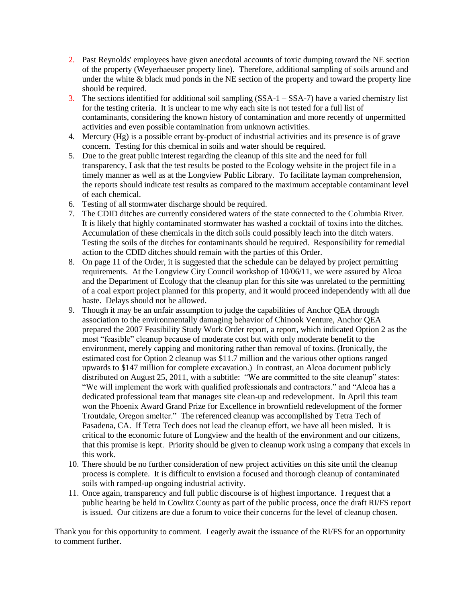- 2. Past Reynolds' employees have given anecdotal accounts of toxic dumping toward the NE section of the property (Weyerhaeuser property line). Therefore, additional sampling of soils around and under the white & black mud ponds in the NE section of the property and toward the property line should be required.
- 3. The sections identified for additional soil sampling  $(SSA-1 SSA-7)$  have a varied chemistry list for the testing criteria. It is unclear to me why each site is not tested for a full list of contaminants, considering the known history of contamination and more recently of unpermitted activities and even possible contamination from unknown activities.
- 4. Mercury (Hg) is a possible errant by-product of industrial activities and its presence is of grave concern. Testing for this chemical in soils and water should be required.
- 5. Due to the great public interest regarding the cleanup of this site and the need for full transparency, I ask that the test results be posted to the Ecology website in the project file in a timely manner as well as at the Longview Public Library. To facilitate layman comprehension, the reports should indicate test results as compared to the maximum acceptable contaminant level of each chemical.
- 6. Testing of all stormwater discharge should be required.
- 7. The CDID ditches are currently considered waters of the state connected to the Columbia River. It is likely that highly contaminated stormwater has washed a cocktail of toxins into the ditches. Accumulation of these chemicals in the ditch soils could possibly leach into the ditch waters. Testing the soils of the ditches for contaminants should be required. Responsibility for remedial action to the CDID ditches should remain with the parties of this Order.
- 8. On page 11 of the Order, it is suggested that the schedule can be delayed by project permitting requirements. At the Longview City Council workshop of 10/06/11, we were assured by Alcoa and the Department of Ecology that the cleanup plan for this site was unrelated to the permitting of a coal export project planned for this property, and it would proceed independently with all due haste. Delays should not be allowed.
- 9. Though it may be an unfair assumption to judge the capabilities of Anchor QEA through association to the environmentally damaging behavior of Chinook Venture, Anchor QEA prepared the 2007 Feasibility Study Work Order report, a report, which indicated Option 2 as the most "feasible" cleanup because of moderate cost but with only moderate benefit to the environment, merely capping and monitoring rather than removal of toxins. (Ironically, the estimated cost for Option 2 cleanup was \$11.7 million and the various other options ranged upwards to \$147 million for complete excavation.) In contrast, an Alcoa document publicly distributed on August 25, 2011, with a subtitle: "We are committed to the site cleanup" states: "We will implement the work with qualified professionals and contractors." and "Alcoa has a dedicated professional team that manages site clean-up and redevelopment. In April this team won the Phoenix Award Grand Prize for Excellence in brownfield redevelopment of the former Troutdale, Oregon smelter." The referenced cleanup was accomplished by Tetra Tech of Pasadena, CA. If Tetra Tech does not lead the cleanup effort, we have all been misled. It is critical to the economic future of Longview and the health of the environment and our citizens, that this promise is kept. Priority should be given to cleanup work using a company that excels in this work.
- 10. There should be no further consideration of new project activities on this site until the cleanup process is complete. It is difficult to envision a focused and thorough cleanup of contaminated soils with ramped-up ongoing industrial activity.
- 11. Once again, transparency and full public discourse is of highest importance. I request that a public hearing be held in Cowlitz County as part of the public process, once the draft RI/FS report is issued. Our citizens are due a forum to voice their concerns for the level of cleanup chosen.

Thank you for this opportunity to comment. I eagerly await the issuance of the RI/FS for an opportunity to comment further.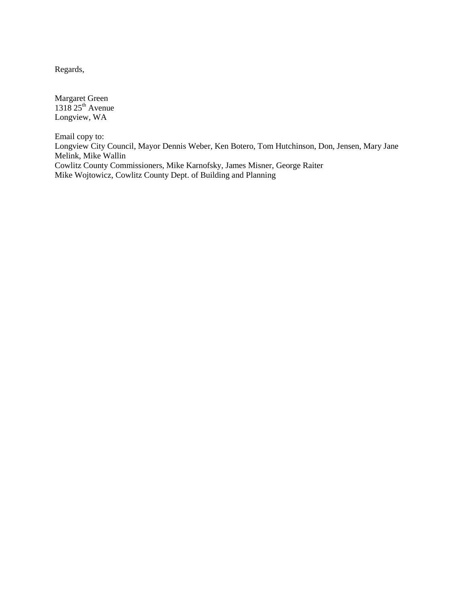Regards,

Margaret Green  $1318$   $25<sup>th</sup>$  Avenue Longview, WA

Email copy to: Longview City Council, Mayor Dennis Weber, Ken Botero, Tom Hutchinson, Don, Jensen, Mary Jane Melink, Mike Wallin Cowlitz County Commissioners, Mike Karnofsky, James Misner, George Raiter Mike Wojtowicz, Cowlitz County Dept. of Building and Planning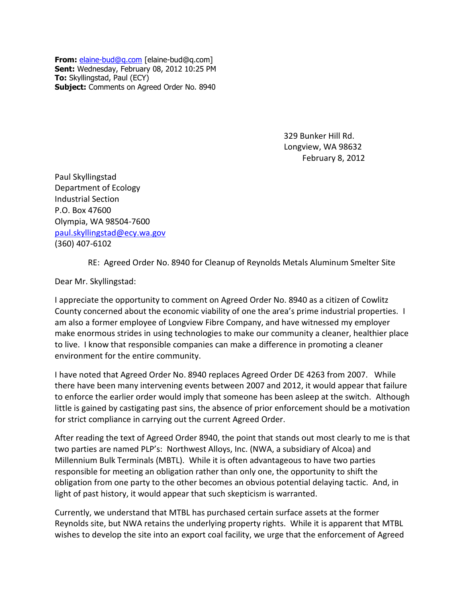**From:** [elaine-bud@q.com](mailto:elaine-bud@q.com) [elaine-bud@q.com] **Sent:** Wednesday, February 08, 2012 10:25 PM **To:** Skyllingstad, Paul (ECY) **Subject:** Comments on Agreed Order No. 8940

> 329 Bunker Hill Rd. Longview, WA 98632 February 8, 2012

Paul Skyllingstad Department of Ecology Industrial Section P.O. Box 47600 Olympia, WA 98504-7600 [paul.skyllingstad@ecy.wa.gov](mailto:paul.skyllingstad@ecy.wa.gov) (360) 407-6102

RE: Agreed Order No. 8940 for Cleanup of Reynolds Metals Aluminum Smelter Site

Dear Mr. Skyllingstad:

I appreciate the opportunity to comment on Agreed Order No. 8940 as a citizen of Cowlitz County concerned about the economic viability of one the area's prime industrial properties. I am also a former employee of Longview Fibre Company, and have witnessed my employer make enormous strides in using technologies to make our community a cleaner, healthier place to live. I know that responsible companies can make a difference in promoting a cleaner environment for the entire community.

I have noted that Agreed Order No. 8940 replaces Agreed Order DE 4263 from 2007. While there have been many intervening events between 2007 and 2012, it would appear that failure to enforce the earlier order would imply that someone has been asleep at the switch. Although little is gained by castigating past sins, the absence of prior enforcement should be a motivation for strict compliance in carrying out the current Agreed Order.

After reading the text of Agreed Order 8940, the point that stands out most clearly to me is that two parties are named PLP's: Northwest Alloys, Inc. (NWA, a subsidiary of Alcoa) and Millennium Bulk Terminals (MBTL). While it is often advantageous to have two parties responsible for meeting an obligation rather than only one, the opportunity to shift the obligation from one party to the other becomes an obvious potential delaying tactic. And, in light of past history, it would appear that such skepticism is warranted.

Currently, we understand that MTBL has purchased certain surface assets at the former Reynolds site, but NWA retains the underlying property rights. While it is apparent that MTBL wishes to develop the site into an export coal facility, we urge that the enforcement of Agreed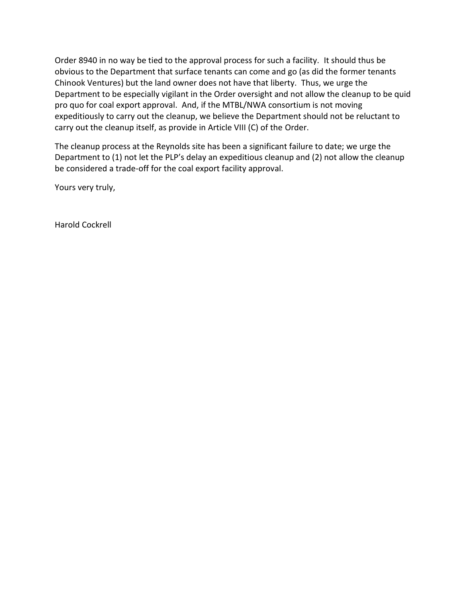Order 8940 in no way be tied to the approval process for such a facility. It should thus be obvious to the Department that surface tenants can come and go (as did the former tenants Chinook Ventures) but the land owner does not have that liberty. Thus, we urge the Department to be especially vigilant in the Order oversight and not allow the cleanup to be quid pro quo for coal export approval. And, if the MTBL/NWA consortium is not moving expeditiously to carry out the cleanup, we believe the Department should not be reluctant to carry out the cleanup itself, as provide in Article VIII (C) of the Order.

The cleanup process at the Reynolds site has been a significant failure to date; we urge the Department to (1) not let the PLP's delay an expeditious cleanup and (2) not allow the cleanup be considered a trade-off for the coal export facility approval.

Yours very truly,

Harold Cockrell